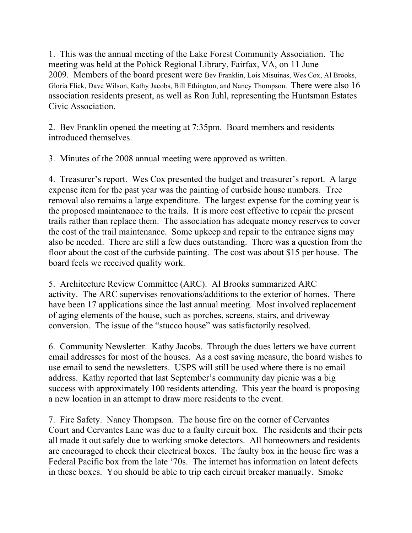1. This was the annual meeting of the Lake Forest Community Association. The meeting was held at the Pohick Regional Library, Fairfax, VA, on 11 June 2009. Members of the board present were Bev Franklin, Lois Misuinas, Wes Cox, Al Brooks, Gloria Flick, Dave Wilson, Kathy Jacobs, Bill Ethington, and Nancy Thompson. There were also 16 association residents present, as well as Ron Juhl, representing the Huntsman Estates Civic Association.

2. Bev Franklin opened the meeting at 7:35pm. Board members and residents introduced themselves.

3. Minutes of the 2008 annual meeting were approved as written.

4. Treasurer's report. Wes Cox presented the budget and treasurer's report. A large expense item for the past year was the painting of curbside house numbers. Tree removal also remains a large expenditure. The largest expense for the coming year is the proposed maintenance to the trails. It is more cost effective to repair the present trails rather than replace them. The association has adequate money reserves to cover the cost of the trail maintenance. Some upkeep and repair to the entrance signs may also be needed. There are still a few dues outstanding. There was a question from the floor about the cost of the curbside painting. The cost was about \$15 per house. The board feels we received quality work.

5. Architecture Review Committee (ARC). Al Brooks summarized ARC activity. The ARC supervises renovations/additions to the exterior of homes. There have been 17 applications since the last annual meeting. Most involved replacement of aging elements of the house, such as porches, screens, stairs, and driveway conversion. The issue of the "stucco house" was satisfactorily resolved.

6. Community Newsletter. Kathy Jacobs. Through the dues letters we have current email addresses for most of the houses. As a cost saving measure, the board wishes to use email to send the newsletters. USPS will still be used where there is no email address. Kathy reported that last September's community day picnic was a big success with approximately 100 residents attending. This year the board is proposing a new location in an attempt to draw more residents to the event.

7. Fire Safety. Nancy Thompson. The house fire on the corner of Cervantes Court and Cervantes Lane was due to a faulty circuit box. The residents and their pets all made it out safely due to working smoke detectors. All homeowners and residents are encouraged to check their electrical boxes. The faulty box in the house fire was a Federal Pacific box from the late '70s. The internet has information on latent defects in these boxes. You should be able to trip each circuit breaker manually. Smoke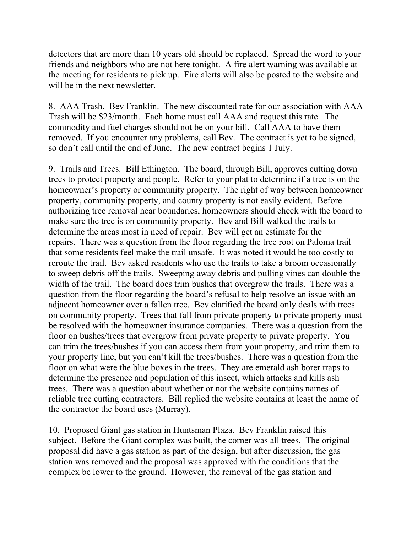detectors that are more than 10 years old should be replaced. Spread the word to your friends and neighbors who are not here tonight. A fire alert warning was available at the meeting for residents to pick up. Fire alerts will also be posted to the website and will be in the next newsletter.

8. AAA Trash. Bev Franklin. The new discounted rate for our association with AAA Trash will be \$23/month. Each home must call AAA and request this rate. The commodity and fuel charges should not be on your bill. Call AAA to have them removed. If you encounter any problems, call Bev. The contract is yet to be signed, so don't call until the end of June. The new contract begins 1 July.

9. Trails and Trees. Bill Ethington. The board, through Bill, approves cutting down trees to protect property and people. Refer to your plat to determine if a tree is on the homeowner's property or community property. The right of way between homeowner property, community property, and county property is not easily evident. Before authorizing tree removal near boundaries, homeowners should check with the board to make sure the tree is on community property. Bev and Bill walked the trails to determine the areas most in need of repair. Bev will get an estimate for the repairs. There was a question from the floor regarding the tree root on Paloma trail that some residents feel make the trail unsafe. It was noted it would be too costly to reroute the trail. Bev asked residents who use the trails to take a broom occasionally to sweep debris off the trails. Sweeping away debris and pulling vines can double the width of the trail. The board does trim bushes that overgrow the trails. There was a question from the floor regarding the board's refusal to help resolve an issue with an adjacent homeowner over a fallen tree. Bev clarified the board only deals with trees on community property. Trees that fall from private property to private property must be resolved with the homeowner insurance companies. There was a question from the floor on bushes/trees that overgrow from private property to private property. You can trim the trees/bushes if you can access them from your property, and trim them to your property line, but you can't kill the trees/bushes. There was a question from the floor on what were the blue boxes in the trees. They are emerald ash borer traps to determine the presence and population of this insect, which attacks and kills ash trees. There was a question about whether or not the website contains names of reliable tree cutting contractors. Bill replied the website contains at least the name of the contractor the board uses (Murray).

10. Proposed Giant gas station in Huntsman Plaza. Bev Franklin raised this subject. Before the Giant complex was built, the corner was all trees. The original proposal did have a gas station as part of the design, but after discussion, the gas station was removed and the proposal was approved with the conditions that the complex be lower to the ground. However, the removal of the gas station and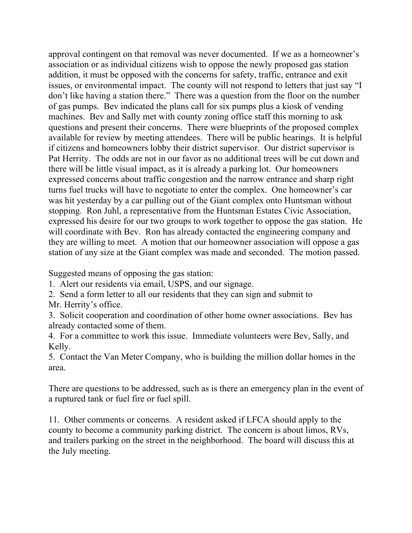approval contingent on that removal was never documented. If we as a homeowner's association or as individual citizens wish to oppose the newly proposed gas station addition, it must be opposed with the concerns for safety, traffic, entrance and exit issues, or environmental impact. The county will not respond to letters that just say "I don't like having a station there." There was a question from the floor on the number of gas pumps. Bev indicated the plans call for six pumps plus a kiosk of vending machines. Bev and Sally met with county zoning office staff this morning to ask questions and present their concerns. There were blueprints of the proposed complex available for review by meeting attendees. There will be public hearings. It is helpful if citizens and homeowners lobby their district supervisor. Our district supervisor is Pat Herrity. The odds are not in our favor as no additional trees will be cut down and there will be little visual impact, as it is already a parking lot. Our homeowners expressed concerns about traffic congestion and the narrow entrance and sharp right turns fuel trucks will have to negotiate to enter the complex. One homeowner's car was hit yesterday by a car pulling out of the Giant complex onto Huntsman without stopping. Ron Juhl, a representative from the Huntsman Estates Civic Association, expressed his desire for our two groups to work together to oppose the gas station. He will coordinate with Bev. Ron has already contacted the engineering company and they are willing to meet. A motion that our homeowner association will oppose a gas station of any size at the Giant complex was made and seconded. The motion passed.

Suggested means of opposing the gas station:

1. Alert our residents via email, USPS, and our signage.

2. Send a form letter to all our residents that they can sign and submit to Mr. Herrity's office.

3. Solicit cooperation and coordination of other home owner associations. Bev has already contacted some of them.

4. For a committee to work this issue. Immediate volunteers were Bev, Sally, and Kelly.

5. Contact the Van Meter Company, who is building the million dollar homes in the area.

There are questions to be addressed, such as is there an emergency plan in the event of a ruptured tank or fuel fire or fuel spill.

11. Other comments or concerns. A resident asked if LFCA should apply to the county to become a community parking district. The concern is about limos, RVs, and trailers parking on the street in the neighborhood. The board will discuss this at the July meeting.